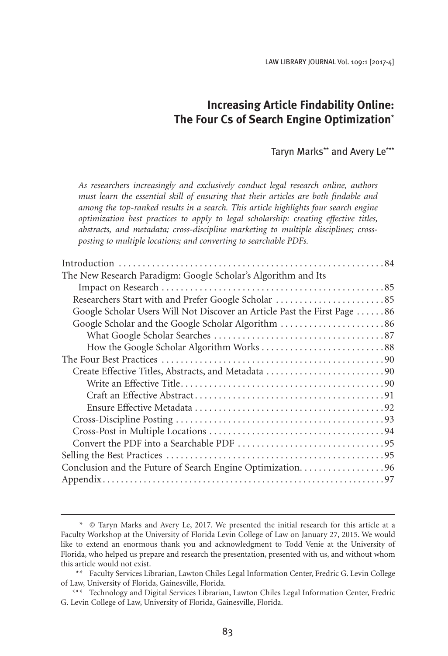LAW LIBRARY JOURNAL Vol. 109:1 [2017-4]

# **Increasing Article Findability Online: The Four Cs of Search Engine Optimization**\*

Taryn Marks\*\* and Avery Le\*\*\*

*As researchers increasingly and exclusively conduct legal research online, authors must learn the essential skill of ensuring that their articles are both findable and among the top-ranked results in a search. This article highlights four search engine optimization best practices to apply to legal scholarship: creating effective titles, abstracts, and metadata; cross-discipline marketing to multiple disciplines; crossposting to multiple locations; and converting to searchable PDFs.*

<sup>\*</sup> © Taryn Marks and Avery Le, 2017. We presented the initial research for this article at a Faculty Workshop at the University of Florida Levin College of Law on January 27, 2015. We would like to extend an enormous thank you and acknowledgment to Todd Venie at the University of Florida, who helped us prepare and research the presentation, presented with us, and without whom this article would not exist.

<sup>\*\*</sup> Faculty Services Librarian, Lawton Chiles Legal Information Center, Fredric G. Levin College of Law, University of Florida, Gainesville, Florida.

<sup>\*\*\*</sup> Technology and Digital Services Librarian, Lawton Chiles Legal Information Center, Fredric G. Levin College of Law, University of Florida, Gainesville, Florida.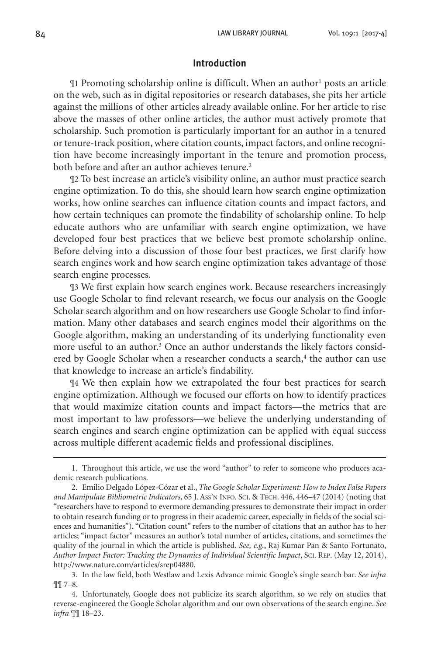#### **Introduction**

Il Promoting scholarship online is difficult. When an author<sup>1</sup> posts an article on the web, such as in digital repositories or research databases, she pits her article against the millions of other articles already available online. For her article to rise above the masses of other online articles, the author must actively promote that scholarship. Such promotion is particularly important for an author in a tenured or tenure-track position, where citation counts, impact factors, and online recognition have become increasingly important in the tenure and promotion process, both before and after an author achieves tenure.<sup>2</sup>

¶2 To best increase an article's visibility online, an author must practice search engine optimization. To do this, she should learn how search engine optimization works, how online searches can influence citation counts and impact factors, and how certain techniques can promote the findability of scholarship online. To help educate authors who are unfamiliar with search engine optimization, we have developed four best practices that we believe best promote scholarship online. Before delving into a discussion of those four best practices, we first clarify how search engines work and how search engine optimization takes advantage of those search engine processes.

¶3 We first explain how search engines work. Because researchers increasingly use Google Scholar to find relevant research, we focus our analysis on the Google Scholar search algorithm and on how researchers use Google Scholar to find information. Many other databases and search engines model their algorithms on the Google algorithm, making an understanding of its underlying functionality even more useful to an author.<sup>3</sup> Once an author understands the likely factors considered by Google Scholar when a researcher conducts a search,<sup>4</sup> the author can use that knowledge to increase an article's findability.

¶4 We then explain how we extrapolated the four best practices for search engine optimization. Although we focused our efforts on how to identify practices that would maximize citation counts and impact factors—the metrics that are most important to law professors—we believe the underlying understanding of search engines and search engine optimization can be applied with equal success across multiple different academic fields and professional disciplines.

<sup>1.</sup> Throughout this article, we use the word "author" to refer to someone who produces academic research publications.

<sup>2.</sup> Emilio Delgado López-Cózar et al., *The Google Scholar Experiment: How to Index False Papers and Manipulate Bibliometric Indicators*, 65 J. Ass'n Info. Sci. & Tech. 446, 446–47 (2014) (noting that "researchers have to respond to evermore demanding pressures to demonstrate their impact in order to obtain research funding or to progress in their academic career, especially in fields of the social sciences and humanities"). "Citation count" refers to the number of citations that an author has to her articles; "impact factor" measures an author's total number of articles, citations, and sometimes the quality of the journal in which the article is published. *See, e.g.*, Raj Kumar Pan & Santo Fortunato, *Author Impact Factor: Tracking the Dynamics of Individual Scientific Impact*, Sci. Rep. (May 12, 2014), http://www.nature.com/articles/srep04880.

<sup>3.</sup> In the law field, both Westlaw and Lexis Advance mimic Google's single search bar. *See infra* ¶¶ 7–8.

<sup>4.</sup> Unfortunately, Google does not publicize its search algorithm, so we rely on studies that reverse-engineered the Google Scholar algorithm and our own observations of the search engine. *See infra* ¶¶ 18–23.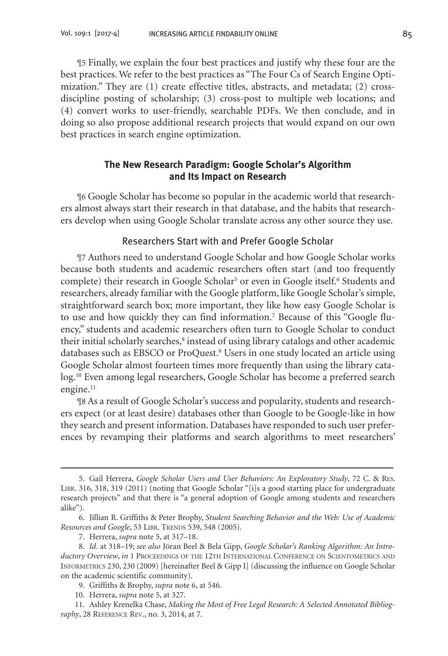¶5 Finally, we explain the four best practices and justify why these four are the best practices. We refer to the best practices as "The Four Cs of Search Engine Optimization." They are  $(1)$  create effective titles, abstracts, and metadata;  $(2)$  crossdiscipline posting of scholarship; (3) cross-post to multiple web locations; and (4) convert works to user-friendly, searchable PDFs. We then conclude, and in doing so also propose additional research projects that would expand on our own best practices in search engine optimization.

## **The New Research Paradigm: Google Scholar's Algorithm and Its Impact on Research**

¶6 Google Scholar has become so popular in the academic world that researchers almost always start their research in that database, and the habits that researchers develop when using Google Scholar translate across any other source they use.

## Researchers Start with and Prefer Google Scholar

¶7 Authors need to understand Google Scholar and how Google Scholar works because both students and academic researchers often start (and too frequently complete) their research in Google Scholar<sup>5</sup> or even in Google itself.<sup>6</sup> Students and researchers, already familiar with the Google platform, like Google Scholar's simple, straightforward search box; more important, they like how easy Google Scholar is to use and how quickly they can find information.7 Because of this "Google fluency," students and academic researchers often turn to Google Scholar to conduct their initial scholarly searches,<sup>8</sup> instead of using library catalogs and other academic databases such as EBSCO or ProQuest.<sup>9</sup> Users in one study located an article using Google Scholar almost fourteen times more frequently than using the library catalog.10 Even among legal researchers, Google Scholar has become a preferred search engine.<sup>11</sup>

¶8 As a result of Google Scholar's success and popularity, students and researchers expect (or at least desire) databases other than Google to be Google-like in how they search and present information. Databases have responded to such user preferences by revamping their platforms and search algorithms to meet researchers'

<sup>5.</sup> Gail Herrera, *Google Scholar Users and User Behaviors: An Exploratory Study*, 72 C. & Res. Libr. 316, 318, 319 (2011) (noting that Google Scholar "[i]s a good starting place for undergraduate research projects" and that there is "a general adoption of Google among students and researchers alike").

<sup>6.</sup> Jillian R. Griffiths & Peter Brophy, *Student Searching Behavior and the Web: Use of Academic Resources and Google, 53 LIBR. TRENDS 539, 548 (2005).* 

<sup>7.</sup> Herrera, *supra* note 5, at 317–18.

<sup>8.</sup> *Id.* at 318–19; *see also* Jöran Beel & Bela Gipp, *Google Scholar's Ranking Algorithm: An Introductory Overview*, *in* 1 Proceedings of the 12th International Conference on Scientometrics and Informetrics 230, 230 (2009) [hereinafter Beel & Gipp I] (discussing the influence on Google Scholar on the academic scientific community).

<sup>9.</sup> Griffiths & Brophy, *supra* note 6, at 546.

<sup>10.</sup> Herrera, *supra* note 5, at 327.

<sup>11.</sup> Ashley Krenelka Chase, *Making the Most of Free Legal Research: A Selected Annotated Bibliography*, 28 Reference Rev., no. 3, 2014, at 7.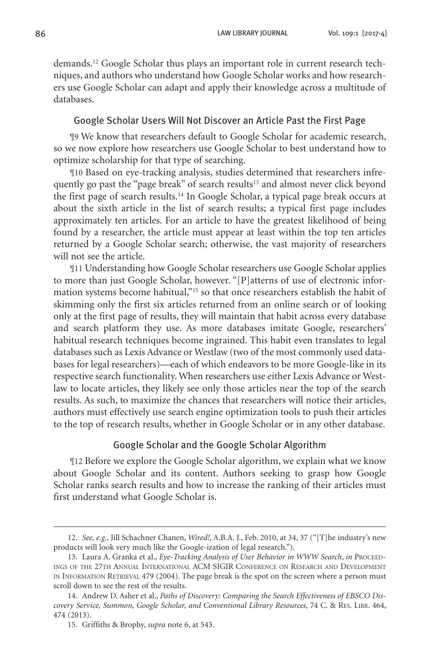demands.12 Google Scholar thus plays an important role in current research techniques, and authors who understand how Google Scholar works and how researchers use Google Scholar can adapt and apply their knowledge across a multitude of databases.

### Google Scholar Users Will Not Discover an Article Past the First Page

¶9 We know that researchers default to Google Scholar for academic research, so we now explore how researchers use Google Scholar to best understand how to optimize scholarship for that type of searching.

¶10 Based on eye-tracking analysis, studies determined that researchers infrequently go past the "page break" of search results<sup>13</sup> and almost never click beyond the first page of search results.<sup>14</sup> In Google Scholar, a typical page break occurs at about the sixth article in the list of search results; a typical first page includes approximately ten articles. For an article to have the greatest likelihood of being found by a researcher, the article must appear at least within the top ten articles returned by a Google Scholar search; otherwise, the vast majority of researchers will not see the article.

¶11 Understanding how Google Scholar researchers use Google Scholar applies to more than just Google Scholar, however. "[P]atterns of use of electronic information systems become habitual,"15 so that once researchers establish the habit of skimming only the first six articles returned from an online search or of looking only at the first page of results, they will maintain that habit across every database and search platform they use. As more databases imitate Google, researchers' habitual research techniques become ingrained. This habit even translates to legal databases such as Lexis Advance or Westlaw (two of the most commonly used databases for legal researchers)—each of which endeavors to be more Google-like in its respective search functionality. When researchers use either Lexis Advance or Westlaw to locate articles, they likely see only those articles near the top of the search results. As such, to maximize the chances that researchers will notice their articles, authors must effectively use search engine optimization tools to push their articles to the top of research results, whether in Google Scholar or in any other database.

### Google Scholar and the Google Scholar Algorithm

¶12 Before we explore the Google Scholar algorithm, we explain what we know about Google Scholar and its content. Authors seeking to grasp how Google Scholar ranks search results and how to increase the ranking of their articles must first understand what Google Scholar is.

<sup>12.</sup> *See, e.g.*, Jill Schachner Chanen, *Wired!*, A.B.A. J., Feb. 2010, at 34, 37 ("[T]he industry's new products will look very much like the Google-ization of legal research.").

<sup>13.</sup> Laura A. Granka et al., *Eye-Tracking Analysis of User Behavior in WWW Search*, *in* Proceedings of the 27th Annual International ACM SIGIR Conference on Research and Development in Information Retrieval 479 (2004). The page break is the spot on the screen where a person must scroll down to see the rest of the results.

<sup>14.</sup> Andrew D. Asher et al., *Paths of Discovery: Comparing the Search Effectiveness of EBSCO Discovery Service, Summon, Google Scholar, and Conventional Library Resources*, 74 C. & Res. Libr. 464, 474 (2013).

<sup>15.</sup> Griffiths & Brophy, *supra* note 6, at 543.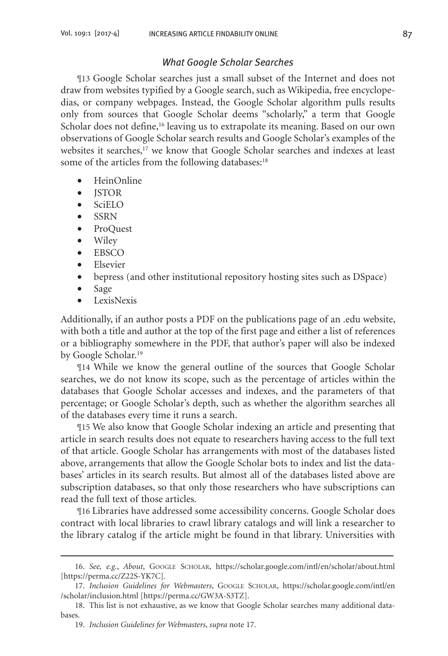# *What Google Scholar Searches*

¶13 Google Scholar searches just a small subset of the Internet and does not draw from websites typified by a Google search, such as Wikipedia, free encyclopedias, or company webpages. Instead, the Google Scholar algorithm pulls results only from sources that Google Scholar deems "scholarly," a term that Google Scholar does not define,<sup>16</sup> leaving us to extrapolate its meaning. Based on our own observations of Google Scholar search results and Google Scholar's examples of the websites it searches,<sup>17</sup> we know that Google Scholar searches and indexes at least some of the articles from the following databases:<sup>18</sup>

- • HeinOnline
- • JSTOR
- SciELO
- SSRN
- • ProQuest
- Wiley
- • EBSCO
- • Elsevier
- bepress (and other institutional repository hosting sites such as DSpace)
- Sage
- • LexisNexis

Additionally, if an author posts a PDF on the publications page of an .edu website, with both a title and author at the top of the first page and either a list of references or a bibliography somewhere in the PDF, that author's paper will also be indexed by Google Scholar.<sup>19</sup>

¶14 While we know the general outline of the sources that Google Scholar searches, we do not know its scope, such as the percentage of articles within the databases that Google Scholar accesses and indexes, and the parameters of that percentage; or Google Scholar's depth, such as whether the algorithm searches all of the databases every time it runs a search.

¶15 We also know that Google Scholar indexing an article and presenting that article in search results does not equate to researchers having access to the full text of that article. Google Scholar has arrangements with most of the databases listed above, arrangements that allow the Google Scholar bots to index and list the databases' articles in its search results. But almost all of the databases listed above are subscription databases, so that only those researchers who have subscriptions can read the full text of those articles.

¶16 Libraries have addressed some accessibility concerns. Google Scholar does contract with local libraries to crawl library catalogs and will link a researcher to the library catalog if the article might be found in that library. Universities with

<sup>16.</sup> *See, e.g.*, *About*, Google Scholar, https://scholar.google.com/intl/en/scholar/about.html [https://perma.cc/Z22S-YK7C].

<sup>17.</sup> *Inclusion Guidelines for Webmasters*, Google Scholar, https://scholar.google.com/intl/en /scholar/inclusion.html [https://perma.cc/GW3A-S3TZ].

<sup>18.</sup> This list is not exhaustive, as we know that Google Scholar searches many additional databases.

<sup>19.</sup> *Inclusion Guidelines for Webmasters*, *supra* note 17.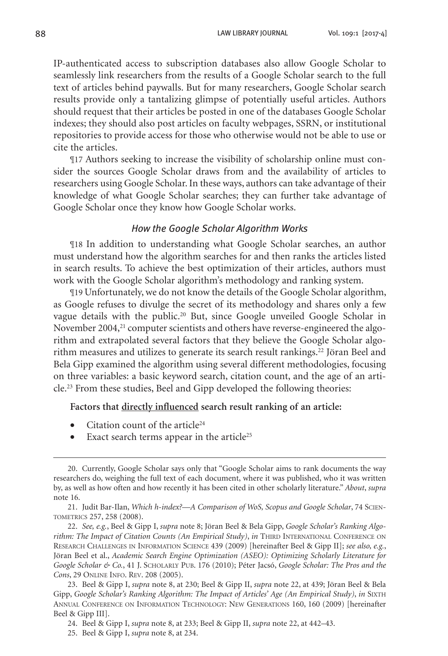IP-authenticated access to subscription databases also allow Google Scholar to seamlessly link researchers from the results of a Google Scholar search to the full text of articles behind paywalls. But for many researchers, Google Scholar search results provide only a tantalizing glimpse of potentially useful articles. Authors should request that their articles be posted in one of the databases Google Scholar indexes; they should also post articles on faculty webpages, SSRN, or institutional repositories to provide access for those who otherwise would not be able to use or cite the articles.

¶17 Authors seeking to increase the visibility of scholarship online must consider the sources Google Scholar draws from and the availability of articles to researchers using Google Scholar. In these ways, authors can take advantage of their knowledge of what Google Scholar searches; they can further take advantage of Google Scholar once they know how Google Scholar works.

#### *How the Google Scholar Algorithm Works*

¶18 In addition to understanding what Google Scholar searches, an author must understand how the algorithm searches for and then ranks the articles listed in search results. To achieve the best optimization of their articles, authors must work with the Google Scholar algorithm's methodology and ranking system.

¶19 Unfortunately, we do not know the details of the Google Scholar algorithm, as Google refuses to divulge the secret of its methodology and shares only a few vague details with the public.20 But, since Google unveiled Google Scholar in November 2004,<sup>21</sup> computer scientists and others have reverse-engineered the algorithm and extrapolated several factors that they believe the Google Scholar algorithm measures and utilizes to generate its search result rankings.<sup>22</sup> Jöran Beel and Bela Gipp examined the algorithm using several different methodologies, focusing on three variables: a basic keyword search, citation count, and the age of an article.23 From these studies, Beel and Gipp developed the following theories:

#### **Factors that directly influenced search result ranking of an article:**

- Citation count of the article<sup>24</sup>
- Exact search terms appear in the article<sup>25</sup>

<sup>20.</sup> Currently, Google Scholar says only that "Google Scholar aims to rank documents the way researchers do, weighing the full text of each document, where it was published, who it was written by, as well as how often and how recently it has been cited in other scholarly literature." *About*, *supra* note 16.

<sup>21.</sup> Judit Bar-Ilan, *Which h-index?—A Comparison of WoS, Scopus and Google Scholar*, 74 Scientometrics 257, 258 (2008).

<sup>22.</sup> *See, e.g.*, Beel & Gipp I, *supra* note 8; Jöran Beel & Bela Gipp, *Google Scholar's Ranking Algorithm: The Impact of Citation Counts (An Empirical Study), in THIRD INTERNATIONAL CONFERENCE ON* Research Challenges in Information Science 439 (2009) [hereinafter Beel & Gipp II]; *see also, e.g.*, Jöran Beel et al., *Academic Search Engine Optimization (ASEO): Optimizing Scholarly Literature for Google Scholar & Co.*, 41 J. Scholarly Pub. 176 (2010); Péter Jacsó, *Google Scholar: The Pros and the Cons*, 29 Online Info. Rev. 208 (2005).

<sup>23.</sup> Beel & Gipp I, *supra* note 8, at 230; Beel & Gipp II, *supra* note 22, at 439; Jöran Beel & Bela Gipp, *Google Scholar's Ranking Algorithm: The Impact of Articles' Age (An Empirical Study)*, *in* Sixth Annual Conference on Information Technology: New Generations 160, 160 (2009) [hereinafter Beel & Gipp III].

<sup>24.</sup> Beel & Gipp I, *supra* note 8, at 233; Beel & Gipp II, *supra* note 22, at 442–43.

<sup>25.</sup> Beel & Gipp I, *supra* note 8, at 234.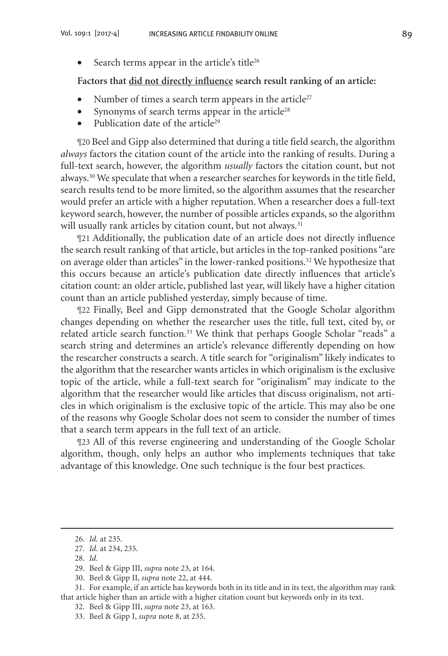Search terms appear in the article's title<sup>26</sup>

### **Factors that did not directly influence search result ranking of an article:**

- Number of times a search term appears in the article<sup>27</sup>
- Synonyms of search terms appear in the article<sup>28</sup>
- Publication date of the article<sup>29</sup>

¶20 Beel and Gipp also determined that during a title field search, the algorithm *always* factors the citation count of the article into the ranking of results. During a full-text search, however, the algorithm *usually* factors the citation count, but not always.30 We speculate that when a researcher searches for keywords in the title field, search results tend to be more limited, so the algorithm assumes that the researcher would prefer an article with a higher reputation. When a researcher does a full-text keyword search, however, the number of possible articles expands, so the algorithm will usually rank articles by citation count, but not always.<sup>31</sup>

¶21 Additionally, the publication date of an article does not directly influence the search result ranking of that article, but articles in the top-ranked positions "are on average older than articles" in the lower-ranked positions.32 We hypothesize that this occurs because an article's publication date directly influences that article's citation count: an older article, published last year, will likely have a higher citation count than an article published yesterday, simply because of time.

¶22 Finally, Beel and Gipp demonstrated that the Google Scholar algorithm changes depending on whether the researcher uses the title, full text, cited by, or related article search function.<sup>33</sup> We think that perhaps Google Scholar "reads" a search string and determines an article's relevance differently depending on how the researcher constructs a search. A title search for "originalism" likely indicates to the algorithm that the researcher wants articles in which originalism is the exclusive topic of the article, while a full-text search for "originalism" may indicate to the algorithm that the researcher would like articles that discuss originalism, not articles in which originalism is the exclusive topic of the article. This may also be one of the reasons why Google Scholar does not seem to consider the number of times that a search term appears in the full text of an article.

¶23 All of this reverse engineering and understanding of the Google Scholar algorithm, though, only helps an author who implements techniques that take advantage of this knowledge. One such technique is the four best practices.

<sup>26.</sup> *Id.* at 235.

<sup>27.</sup> *Id.* at 234, 235.

<sup>28.</sup> *Id.*

<sup>29.</sup> Beel & Gipp III, *supra* note 23, at 164.

<sup>30.</sup> Beel & Gipp II, *supra* note 22, at 444.

<sup>31.</sup> For example, if an article has keywords both in its title and in its text, the algorithm may rank that article higher than an article with a higher citation count but keywords only in its text.

<sup>32.</sup> Beel & Gipp III, *supra* note 23, at 163.

<sup>33.</sup> Beel & Gipp I, *supra* note 8, at 235.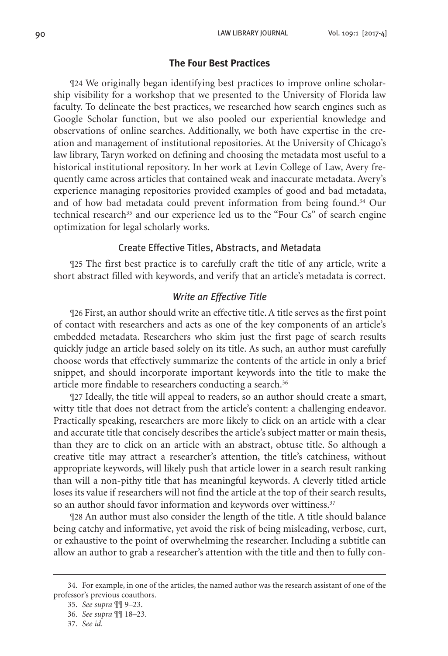#### **The Four Best Practices**

¶24 We originally began identifying best practices to improve online scholarship visibility for a workshop that we presented to the University of Florida law faculty. To delineate the best practices, we researched how search engines such as Google Scholar function, but we also pooled our experiential knowledge and observations of online searches. Additionally, we both have expertise in the creation and management of institutional repositories. At the University of Chicago's law library, Taryn worked on defining and choosing the metadata most useful to a historical institutional repository. In her work at Levin College of Law, Avery frequently came across articles that contained weak and inaccurate metadata. Avery's experience managing repositories provided examples of good and bad metadata, and of how bad metadata could prevent information from being found.<sup>34</sup> Our technical research<sup>35</sup> and our experience led us to the "Four Cs" of search engine optimization for legal scholarly works.

#### Create Effective Titles, Abstracts, and Metadata

¶25 The first best practice is to carefully craft the title of any article, write a short abstract filled with keywords, and verify that an article's metadata is correct.

## *Write an Effective Title*

¶26 First, an author should write an effective title. A title serves as the first point of contact with researchers and acts as one of the key components of an article's embedded metadata. Researchers who skim just the first page of search results quickly judge an article based solely on its title. As such, an author must carefully choose words that effectively summarize the contents of the article in only a brief snippet, and should incorporate important keywords into the title to make the article more findable to researchers conducting a search.<sup>36</sup>

¶27 Ideally, the title will appeal to readers, so an author should create a smart, witty title that does not detract from the article's content: a challenging endeavor. Practically speaking, researchers are more likely to click on an article with a clear and accurate title that concisely describes the article's subject matter or main thesis, than they are to click on an article with an abstract, obtuse title. So although a creative title may attract a researcher's attention, the title's catchiness, without appropriate keywords, will likely push that article lower in a search result ranking than will a non-pithy title that has meaningful keywords. A cleverly titled article loses its value if researchers will not find the article at the top of their search results, so an author should favor information and keywords over wittiness.<sup>37</sup>

¶28 An author must also consider the length of the title. A title should balance being catchy and informative, yet avoid the risk of being misleading, verbose, curt, or exhaustive to the point of overwhelming the researcher. Including a subtitle can allow an author to grab a researcher's attention with the title and then to fully con-

<sup>34.</sup> For example, in one of the articles, the named author was the research assistant of one of the professor's previous coauthors.

<sup>35.</sup> *See supra* ¶¶ 9–23.

<sup>36.</sup> *See supra* ¶¶ 18–23.

<sup>37.</sup> *See id*.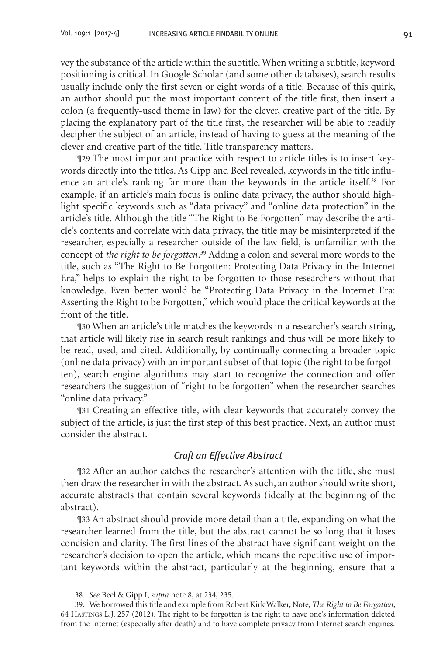vey the substance of the article within the subtitle. When writing a subtitle, keyword positioning is critical. In Google Scholar (and some other databases), search results usually include only the first seven or eight words of a title. Because of this quirk, an author should put the most important content of the title first, then insert a colon (a frequently-used theme in law) for the clever, creative part of the title. By placing the explanatory part of the title first, the researcher will be able to readily decipher the subject of an article, instead of having to guess at the meaning of the clever and creative part of the title. Title transparency matters.

¶29 The most important practice with respect to article titles is to insert keywords directly into the titles. As Gipp and Beel revealed, keywords in the title influence an article's ranking far more than the keywords in the article itself.38 For example, if an article's main focus is online data privacy, the author should highlight specific keywords such as "data privacy" and "online data protection" in the article's title. Although the title "The Right to Be Forgotten" may describe the article's contents and correlate with data privacy, the title may be misinterpreted if the researcher, especially a researcher outside of the law field, is unfamiliar with the concept of *the right to be forgotten*. 39 Adding a colon and several more words to the title, such as "The Right to Be Forgotten: Protecting Data Privacy in the Internet Era," helps to explain the right to be forgotten to those researchers without that knowledge. Even better would be "Protecting Data Privacy in the Internet Era: Asserting the Right to be Forgotten," which would place the critical keywords at the front of the title.

¶30 When an article's title matches the keywords in a researcher's search string, that article will likely rise in search result rankings and thus will be more likely to be read, used, and cited. Additionally, by continually connecting a broader topic (online data privacy) with an important subset of that topic (the right to be forgotten), search engine algorithms may start to recognize the connection and offer researchers the suggestion of "right to be forgotten" when the researcher searches "online data privacy."

¶31 Creating an effective title, with clear keywords that accurately convey the subject of the article, is just the first step of this best practice. Next, an author must consider the abstract.

## *Craft an Effective Abstract*

¶32 After an author catches the researcher's attention with the title, she must then draw the researcher in with the abstract. As such, an author should write short, accurate abstracts that contain several keywords (ideally at the beginning of the abstract).

¶33 An abstract should provide more detail than a title, expanding on what the researcher learned from the title, but the abstract cannot be so long that it loses concision and clarity. The first lines of the abstract have significant weight on the researcher's decision to open the article, which means the repetitive use of important keywords within the abstract, particularly at the beginning, ensure that a

<sup>38.</sup> *See* Beel & Gipp I, *supra* note 8, at 234, 235.

<sup>39.</sup> We borrowed this title and example from Robert Kirk Walker, Note, *The Right to Be Forgotten*, 64 Hastings L.J. 257 (2012). The right to be forgotten is the right to have one's information deleted from the Internet (especially after death) and to have complete privacy from Internet search engines.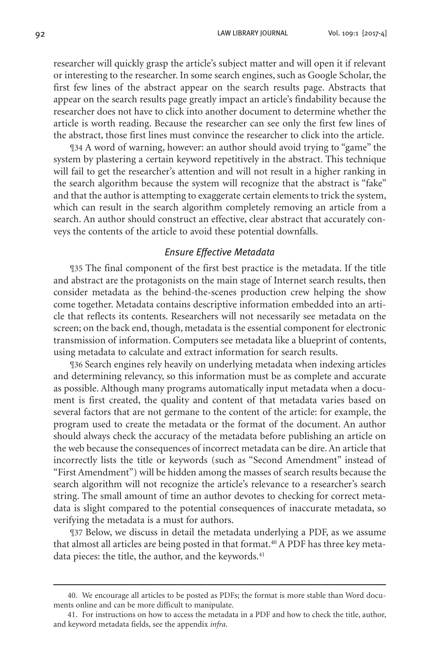researcher will quickly grasp the article's subject matter and will open it if relevant or interesting to the researcher. In some search engines, such as Google Scholar, the first few lines of the abstract appear on the search results page. Abstracts that appear on the search results page greatly impact an article's findability because the researcher does not have to click into another document to determine whether the article is worth reading. Because the researcher can see only the first few lines of the abstract, those first lines must convince the researcher to click into the article.

¶34 A word of warning, however: an author should avoid trying to "game" the system by plastering a certain keyword repetitively in the abstract. This technique will fail to get the researcher's attention and will not result in a higher ranking in the search algorithm because the system will recognize that the abstract is "fake" and that the author is attempting to exaggerate certain elements to trick the system, which can result in the search algorithm completely removing an article from a search. An author should construct an effective, clear abstract that accurately conveys the contents of the article to avoid these potential downfalls.

### *Ensure Effective Metadata*

¶35 The final component of the first best practice is the metadata. If the title and abstract are the protagonists on the main stage of Internet search results, then consider metadata as the behind-the-scenes production crew helping the show come together. Metadata contains descriptive information embedded into an article that reflects its contents. Researchers will not necessarily see metadata on the screen; on the back end, though, metadata is the essential component for electronic transmission of information. Computers see metadata like a blueprint of contents, using metadata to calculate and extract information for search results.

¶36 Search engines rely heavily on underlying metadata when indexing articles and determining relevancy, so this information must be as complete and accurate as possible. Although many programs automatically input metadata when a document is first created, the quality and content of that metadata varies based on several factors that are not germane to the content of the article: for example, the program used to create the metadata or the format of the document. An author should always check the accuracy of the metadata before publishing an article on the web because the consequences of incorrect metadata can be dire. An article that incorrectly lists the title or keywords (such as "Second Amendment" instead of "First Amendment") will be hidden among the masses of search results because the search algorithm will not recognize the article's relevance to a researcher's search string. The small amount of time an author devotes to checking for correct metadata is slight compared to the potential consequences of inaccurate metadata, so verifying the metadata is a must for authors.

¶37 Below, we discuss in detail the metadata underlying a PDF, as we assume that almost all articles are being posted in that format.<sup>40</sup> A PDF has three key metadata pieces: the title, the author, and the keywords.<sup>41</sup>

<sup>40.</sup> We encourage all articles to be posted as PDFs; the format is more stable than Word documents online and can be more difficult to manipulate.

<sup>41.</sup> For instructions on how to access the metadata in a PDF and how to check the title, author, and keyword metadata fields, see the appendix *infra*.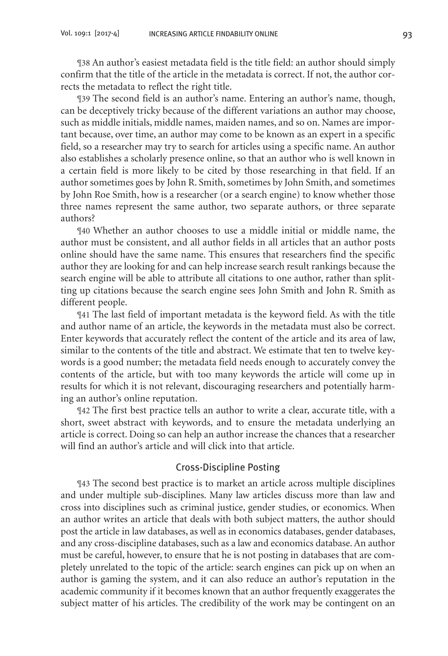¶38 An author's easiest metadata field is the title field: an author should simply confirm that the title of the article in the metadata is correct. If not, the author corrects the metadata to reflect the right title.

¶39 The second field is an author's name. Entering an author's name, though, can be deceptively tricky because of the different variations an author may choose, such as middle initials, middle names, maiden names, and so on. Names are important because, over time, an author may come to be known as an expert in a specific field, so a researcher may try to search for articles using a specific name. An author also establishes a scholarly presence online, so that an author who is well known in a certain field is more likely to be cited by those researching in that field. If an author sometimes goes by John R. Smith, sometimes by John Smith, and sometimes by John Roe Smith, how is a researcher (or a search engine) to know whether those three names represent the same author, two separate authors, or three separate authors?

¶40 Whether an author chooses to use a middle initial or middle name, the author must be consistent, and all author fields in all articles that an author posts online should have the same name. This ensures that researchers find the specific author they are looking for and can help increase search result rankings because the search engine will be able to attribute all citations to one author, rather than splitting up citations because the search engine sees John Smith and John R. Smith as different people.

¶41 The last field of important metadata is the keyword field. As with the title and author name of an article, the keywords in the metadata must also be correct. Enter keywords that accurately reflect the content of the article and its area of law, similar to the contents of the title and abstract. We estimate that ten to twelve keywords is a good number; the metadata field needs enough to accurately convey the contents of the article, but with too many keywords the article will come up in results for which it is not relevant, discouraging researchers and potentially harming an author's online reputation.

¶42 The first best practice tells an author to write a clear, accurate title, with a short, sweet abstract with keywords, and to ensure the metadata underlying an article is correct. Doing so can help an author increase the chances that a researcher will find an author's article and will click into that article.

## Cross-Discipline Posting

¶43 The second best practice is to market an article across multiple disciplines and under multiple sub-disciplines. Many law articles discuss more than law and cross into disciplines such as criminal justice, gender studies, or economics. When an author writes an article that deals with both subject matters, the author should post the article in law databases, as well as in economics databases, gender databases, and any cross-discipline databases, such as a law and economics database. An author must be careful, however, to ensure that he is not posting in databases that are completely unrelated to the topic of the article: search engines can pick up on when an author is gaming the system, and it can also reduce an author's reputation in the academic community if it becomes known that an author frequently exaggerates the subject matter of his articles. The credibility of the work may be contingent on an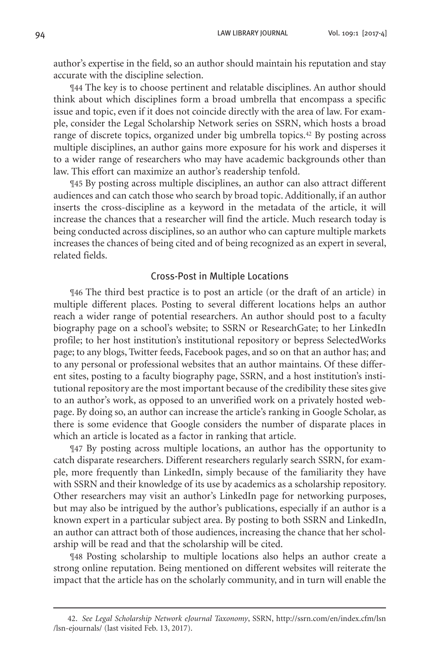author's expertise in the field, so an author should maintain his reputation and stay accurate with the discipline selection.

¶44 The key is to choose pertinent and relatable disciplines. An author should think about which disciplines form a broad umbrella that encompass a specific issue and topic, even if it does not coincide directly with the area of law. For example, consider the Legal Scholarship Network series on SSRN, which hosts a broad range of discrete topics, organized under big umbrella topics.<sup>42</sup> By posting across multiple disciplines, an author gains more exposure for his work and disperses it to a wider range of researchers who may have academic backgrounds other than law. This effort can maximize an author's readership tenfold.

¶45 By posting across multiple disciplines, an author can also attract different audiences and can catch those who search by broad topic. Additionally, if an author inserts the cross-discipline as a keyword in the metadata of the article, it will increase the chances that a researcher will find the article. Much research today is being conducted across disciplines, so an author who can capture multiple markets increases the chances of being cited and of being recognized as an expert in several, related fields.

#### Cross-Post in Multiple Locations

¶46 The third best practice is to post an article (or the draft of an article) in multiple different places. Posting to several different locations helps an author reach a wider range of potential researchers. An author should post to a faculty biography page on a school's website; to SSRN or ResearchGate; to her LinkedIn profile; to her host institution's institutional repository or bepress SelectedWorks page; to any blogs, Twitter feeds, Facebook pages, and so on that an author has; and to any personal or professional websites that an author maintains. Of these different sites, posting to a faculty biography page, SSRN, and a host institution's institutional repository are the most important because of the credibility these sites give to an author's work, as opposed to an unverified work on a privately hosted webpage. By doing so, an author can increase the article's ranking in Google Scholar, as there is some evidence that Google considers the number of disparate places in which an article is located as a factor in ranking that article.

¶47 By posting across multiple locations, an author has the opportunity to catch disparate researchers. Different researchers regularly search SSRN, for example, more frequently than LinkedIn, simply because of the familiarity they have with SSRN and their knowledge of its use by academics as a scholarship repository. Other researchers may visit an author's LinkedIn page for networking purposes, but may also be intrigued by the author's publications, especially if an author is a known expert in a particular subject area. By posting to both SSRN and LinkedIn, an author can attract both of those audiences, increasing the chance that her scholarship will be read and that the scholarship will be cited.

¶48 Posting scholarship to multiple locations also helps an author create a strong online reputation. Being mentioned on different websites will reiterate the impact that the article has on the scholarly community, and in turn will enable the

<sup>42.</sup> *See Legal Scholarship Network eJournal Taxonomy*, SSRN, http://ssrn.com/en/index.cfm/lsn /lsn-ejournals/ (last visited Feb. 13, 2017).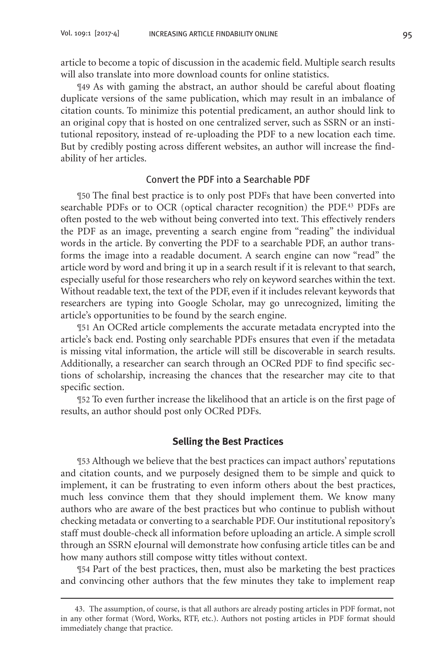article to become a topic of discussion in the academic field. Multiple search results will also translate into more download counts for online statistics.

¶49 As with gaming the abstract, an author should be careful about floating duplicate versions of the same publication, which may result in an imbalance of citation counts. To minimize this potential predicament, an author should link to an original copy that is hosted on one centralized server, such as SSRN or an institutional repository, instead of re-uploading the PDF to a new location each time. But by credibly posting across different websites, an author will increase the findability of her articles.

### Convert the PDF into a Searchable PDF

¶50 The final best practice is to only post PDFs that have been converted into searchable PDFs or to OCR (optical character recognition) the PDF.<sup>43</sup> PDFs are often posted to the web without being converted into text. This effectively renders the PDF as an image, preventing a search engine from "reading" the individual words in the article. By converting the PDF to a searchable PDF, an author transforms the image into a readable document. A search engine can now "read" the article word by word and bring it up in a search result if it is relevant to that search, especially useful for those researchers who rely on keyword searches within the text. Without readable text, the text of the PDF, even if it includes relevant keywords that researchers are typing into Google Scholar, may go unrecognized, limiting the article's opportunities to be found by the search engine.

¶51 An OCRed article complements the accurate metadata encrypted into the article's back end. Posting only searchable PDFs ensures that even if the metadata is missing vital information, the article will still be discoverable in search results. Additionally, a researcher can search through an OCRed PDF to find specific sections of scholarship, increasing the chances that the researcher may cite to that specific section.

¶52 To even further increase the likelihood that an article is on the first page of results, an author should post only OCRed PDFs.

### **Selling the Best Practices**

¶53 Although we believe that the best practices can impact authors' reputations and citation counts, and we purposely designed them to be simple and quick to implement, it can be frustrating to even inform others about the best practices, much less convince them that they should implement them. We know many authors who are aware of the best practices but who continue to publish without checking metadata or converting to a searchable PDF. Our institutional repository's staff must double-check all information before uploading an article. A simple scroll through an SSRN eJournal will demonstrate how confusing article titles can be and how many authors still compose witty titles without context.

¶54 Part of the best practices, then, must also be marketing the best practices and convincing other authors that the few minutes they take to implement reap

<sup>43.</sup> The assumption, of course, is that all authors are already posting articles in PDF format, not in any other format (Word, Works, RTF, etc.). Authors not posting articles in PDF format should immediately change that practice.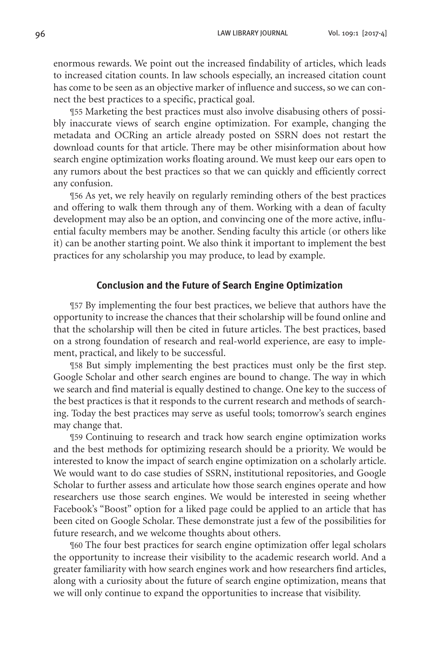enormous rewards. We point out the increased findability of articles, which leads to increased citation counts. In law schools especially, an increased citation count has come to be seen as an objective marker of influence and success, so we can connect the best practices to a specific, practical goal.

¶55 Marketing the best practices must also involve disabusing others of possibly inaccurate views of search engine optimization. For example, changing the metadata and OCRing an article already posted on SSRN does not restart the download counts for that article. There may be other misinformation about how search engine optimization works floating around. We must keep our ears open to any rumors about the best practices so that we can quickly and efficiently correct any confusion.

¶56 As yet, we rely heavily on regularly reminding others of the best practices and offering to walk them through any of them. Working with a dean of faculty development may also be an option, and convincing one of the more active, influential faculty members may be another. Sending faculty this article (or others like it) can be another starting point. We also think it important to implement the best practices for any scholarship you may produce, to lead by example.

#### **Conclusion and the Future of Search Engine Optimization**

¶57 By implementing the four best practices, we believe that authors have the opportunity to increase the chances that their scholarship will be found online and that the scholarship will then be cited in future articles. The best practices, based on a strong foundation of research and real-world experience, are easy to implement, practical, and likely to be successful.

¶58 But simply implementing the best practices must only be the first step. Google Scholar and other search engines are bound to change. The way in which we search and find material is equally destined to change. One key to the success of the best practices is that it responds to the current research and methods of searching. Today the best practices may serve as useful tools; tomorrow's search engines may change that.

¶59 Continuing to research and track how search engine optimization works and the best methods for optimizing research should be a priority. We would be interested to know the impact of search engine optimization on a scholarly article. We would want to do case studies of SSRN, institutional repositories, and Google Scholar to further assess and articulate how those search engines operate and how researchers use those search engines. We would be interested in seeing whether Facebook's "Boost" option for a liked page could be applied to an article that has been cited on Google Scholar. These demonstrate just a few of the possibilities for future research, and we welcome thoughts about others.

¶60 The four best practices for search engine optimization offer legal scholars the opportunity to increase their visibility to the academic research world. And a greater familiarity with how search engines work and how researchers find articles, along with a curiosity about the future of search engine optimization, means that we will only continue to expand the opportunities to increase that visibility.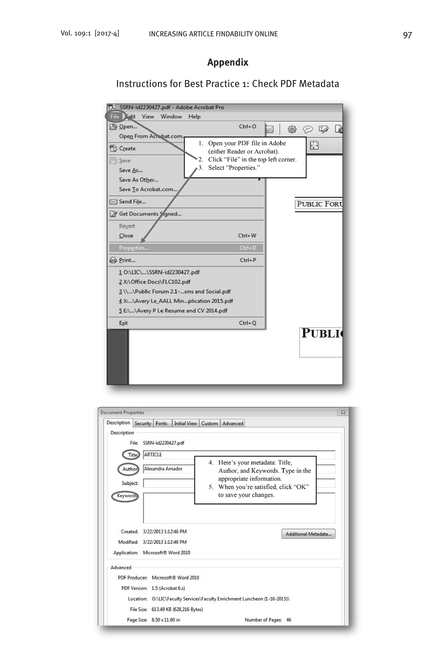# **Appendix**

# Instructions for Best Practice 1: Check PDF Metadata

| SSRN-id2230427.pdf - Adobe Acrobat Pro   |                                                            |                        |
|------------------------------------------|------------------------------------------------------------|------------------------|
| File Filt<br>View Window<br>Help         |                                                            |                        |
| 2 Open                                   | $Ctrl + O$                                                 | €<br>$\mathbb{F}$<br>⊜ |
| Open From Acrobat.com.                   |                                                            |                        |
| 1.<br><b>T</b> o Create                  | Open your PDF file in Adobe<br>(either Reader or Acrobat). | Ð                      |
| Save<br>2.                               | Click "File" in the top left corner.                       |                        |
| 3.<br>Save As                            | Select "Properties."                                       |                        |
| Save As Other                            |                                                            |                        |
| Save To Acrobat.com.                     |                                                            |                        |
| ⊠ Send File                              |                                                            | <b>PUBLIC FORT</b>     |
| <b>&amp; Get Documents Signed</b>        |                                                            |                        |
| Revert                                   |                                                            |                        |
| Close                                    | $Ctrl + W$                                                 |                        |
| Properties                               | $Ctrl + D$                                                 |                        |
| e Print                                  | $Ctrl + P$                                                 |                        |
| 1 O:\LIC\\SSRN-id2230427.pdf             |                                                            |                        |
| 2 X:\Office Docs\FLC102.pdf              |                                                            |                        |
| 3 \\\Public Forum 2.1-ons and Social.pdf |                                                            |                        |
| 4 X:\Avery Le_AALL Minplication 2015.pdf |                                                            |                        |
| 5 E:\\Avery P Le Resume and CV 2014.pdf  |                                                            |                        |
| Exit                                     | $Ctrl + Q$                                                 |                        |
|                                          |                                                            | <b>PUBLI</b>           |

| <b>Document Properties</b>                       |                                |                       |                                      | $\Sigma$                                                             |  |
|--------------------------------------------------|--------------------------------|-----------------------|--------------------------------------|----------------------------------------------------------------------|--|
| Description Security Fonts<br>Description        |                                |                       |                                      | Initial View   Custom   Advanced                                     |  |
| SSRN-id2230427.pdf<br>File:<br>ARTICLE<br>Title: |                                |                       |                                      |                                                                      |  |
| Author                                           |                                | Alexandra Amador      |                                      | 4. Here's your metadata: Title,<br>Author, and Keywords. Type in the |  |
| Subject:                                         |                                |                       |                                      | appropriate information.<br>5. When you're satisfied, click "OK"     |  |
| Keywords                                         |                                | to save your changes. |                                      |                                                                      |  |
|                                                  | Created: 3/22/2013 1:12:46 PM  |                       |                                      | Additional Metadata                                                  |  |
|                                                  | Modified: 3/22/2013 1:12:46 PM |                       |                                      |                                                                      |  |
|                                                  |                                |                       | Application: Microsoft® Word 2010    |                                                                      |  |
| Advanced                                         |                                |                       |                                      |                                                                      |  |
|                                                  |                                |                       | PDF Producer: Microsoft® Word 2010   |                                                                      |  |
|                                                  |                                |                       |                                      |                                                                      |  |
|                                                  | PDF Version: 1.5 (Acrobat 6.x) |                       |                                      |                                                                      |  |
|                                                  | Location:                      |                       |                                      | O:\LIC\Faculty Services\Faculty Enrichment Luncheon (1-16-2015)\     |  |
|                                                  |                                |                       | File Size: 613.49 KB (628,216 Bytes) |                                                                      |  |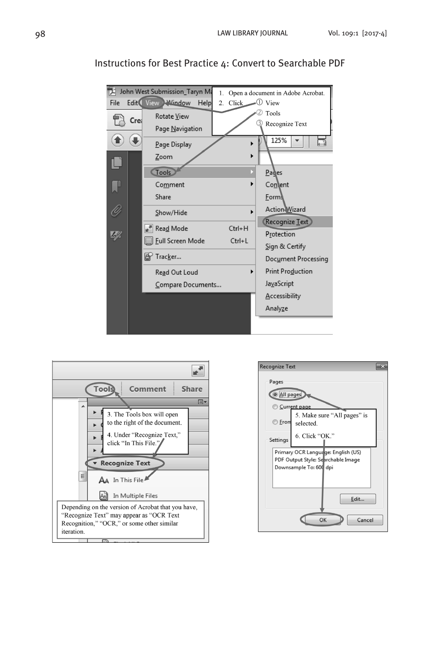

# Instructions for Best Practice 4: Convert to Searchable PDF